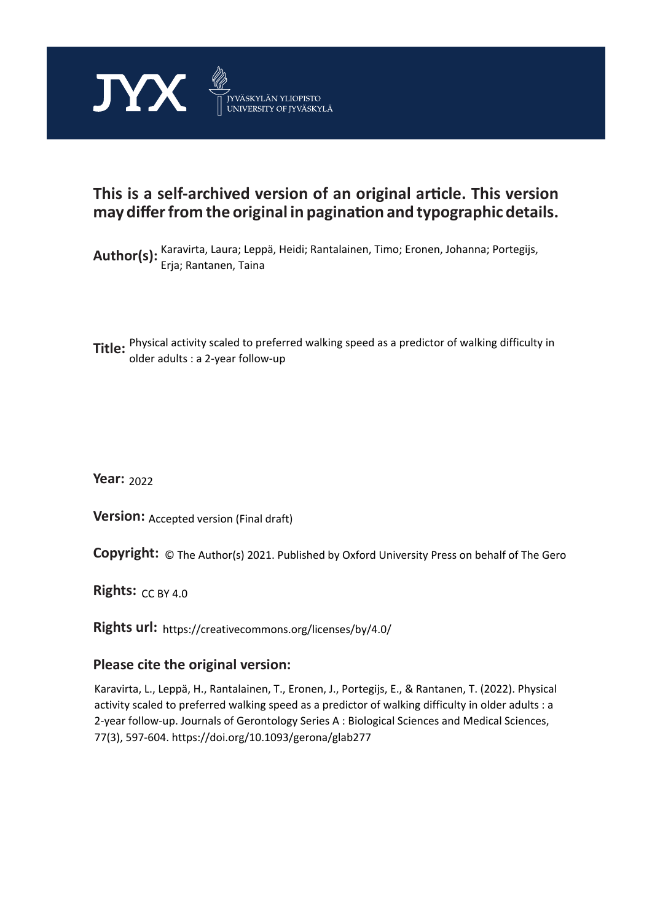

# **This is a self-archived version of an original article. This version may differ from the original in pagination and typographic details.**

Author(s): Karavirta, Laura; Leppä, Heidi; Rantalainen, Timo; Eronen, Johanna; Portegijs, Erja; Rantanen, Taina

**Title:** Physical activity scaled to preferred walking speed as a predictor of walking difficulty in older adults : a 2-year follow-up

**Year:**  2022

**Version:** Accepted version (Final draft)

**Version:** Accepted version (Final draft)<br>**Copyright:** © The Author(s) 2021. Published by Oxford University Press on behalf of The Gero

**Rights:** CC BY 4.0

**Rights url:**  https://creativecommons.org/licenses/by/4.0/

# **Please cite the original version:**

Karavirta, L., Leppä, H., Rantalainen, T., Eronen, J., Portegijs, E., & Rantanen, T. (2022). Physical activity scaled to preferred walking speed as a predictor of walking difficulty in older adults : a 2-year follow-up. Journals of Gerontology Series A : Biological Sciences and Medical Sciences, 77(3), 597-604. https://doi.org/10.1093/gerona/glab277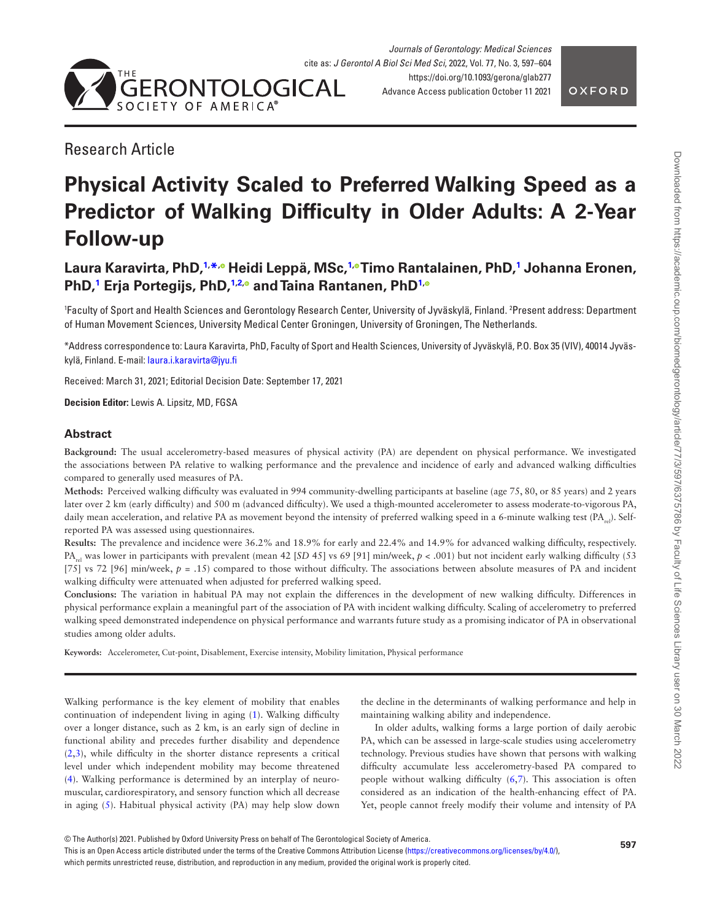

# Research Article

# **Physical Activity Scaled to Preferred Walking Speed as a Predictor of Walking Difficulty in Older Adults: A 2-Year Follow-up**

# **Laura Karavirta, PhD,[1,](#page-1-0) [\\*](#page-1-1)[,](https://orcid.org/0000-0003-1372-2304) Heidi Leppä, MSc[,1](#page-1-0)[, T](https://orcid.org/0000-0001-9306-7586)imo Rantalainen, PhD,[1](#page-1-0) Johanna Eronen, PhD[,1](#page-1-0) Erja Portegijs, PhD[,1,](#page-1-0)[2](#page-1-2)[,](https://orcid.org/0000-0002-5205-9616) and Taina Rantanen, Ph[D1](#page-1-0)[,](https://orcid.org/0000-0002-1604-1945)**

<span id="page-1-2"></span><span id="page-1-0"></span>1 Faculty of Sport and Health Sciences and Gerontology Research Center, University of Jyväskylä, Finland. 2 Present address: Department of Human Movement Sciences, University Medical Center Groningen, University of Groningen, The Netherlands.

<span id="page-1-1"></span>\*Address correspondence to: Laura Karavirta, PhD, Faculty of Sport and Health Sciences, University of Jyväskylä, P.O. Box 35 (VIV), 40014 Jyväskylä, Finland. E-mail: [laura.i.karavirta@jyu.fi](mailto:laura.i.karavirta@jyu.fi?subject=)

Received: March 31, 2021; Editorial Decision Date: September 17, 2021

**Decision Editor:** Lewis A. Lipsitz, MD, FGSA

# **Abstract**

**Background:** The usual accelerometry-based measures of physical activity (PA) are dependent on physical performance. We investigated the associations between PA relative to walking performance and the prevalence and incidence of early and advanced walking difficulties compared to generally used measures of PA.

**Methods:** Perceived walking difficulty was evaluated in 994 community-dwelling participants at baseline (age 75, 80, or 85 years) and 2 years later over 2 km (early difficulty) and 500 m (advanced difficulty). We used a thigh-mounted accelerometer to assess moderate-to-vigorous PA, daily mean acceleration, and relative PA as movement beyond the intensity of preferred walking speed in a 6-minute walking test ( $PA_{cal}$ ). Selfreported PA was assessed using questionnaires.

**Results:** The prevalence and incidence were 36.2% and 18.9% for early and 22.4% and 14.9% for advanced walking difficulty, respectively. PA<sub>rel</sub> was lower in participants with prevalent (mean 42 [*SD* 45] vs 69 [91] min/week,  $p < .001$ ) but not incident early walking difficulty (53) [75] vs 72 [96] min/week,  $p = .15$  compared to those without difficulty. The associations between absolute measures of PA and incident walking difficulty were attenuated when adjusted for preferred walking speed.

**Conclusions:** The variation in habitual PA may not explain the differences in the development of new walking difficulty. Differences in physical performance explain a meaningful part of the association of PA with incident walking difficulty. Scaling of accelerometry to preferred walking speed demonstrated independence on physical performance and warrants future study as a promising indicator of PA in observational studies among older adults.

**Keywords:** Accelerometer, Cut-point, Disablement, Exercise intensity, Mobility limitation, Physical performance

Walking performance is the key element of mobility that enables continuation of independent living in aging [\(1\)](#page-7-0). Walking difficulty over a longer distance, such as 2 km, is an early sign of decline in functional ability and precedes further disability and dependence [\(2,](#page-7-1)[3](#page-8-0)), while difficulty in the shorter distance represents a critical level under which independent mobility may become threatened [\(4\)](#page-8-1). Walking performance is determined by an interplay of neuromuscular, cardiorespiratory, and sensory function which all decrease in aging [\(5\)](#page-8-2). Habitual physical activity (PA) may help slow down the decline in the determinants of walking performance and help in maintaining walking ability and independence.

In older adults, walking forms a large portion of daily aerobic PA, which can be assessed in large-scale studies using accelerometry technology. Previous studies have shown that persons with walking difficulty accumulate less accelerometry-based PA compared to people without walking difficulty [\(6](#page-8-3),[7](#page-8-4)). This association is often considered as an indication of the health-enhancing effect of PA. Yet, people cannot freely modify their volume and intensity of PA

which permits unrestricted reuse, distribution, and reproduction in any medium, provided the original work is properly cited.

<sup>©</sup> The Author(s) 2021. Published by Oxford University Press on behalf of The Gerontological Society of America.

This is an Open Access article distributed under the terms of the Creative Commons Attribution License [\(https://creativecommons.org/licenses/by/4.0/](https://creativecommons.org/licenses/by/4.0/)),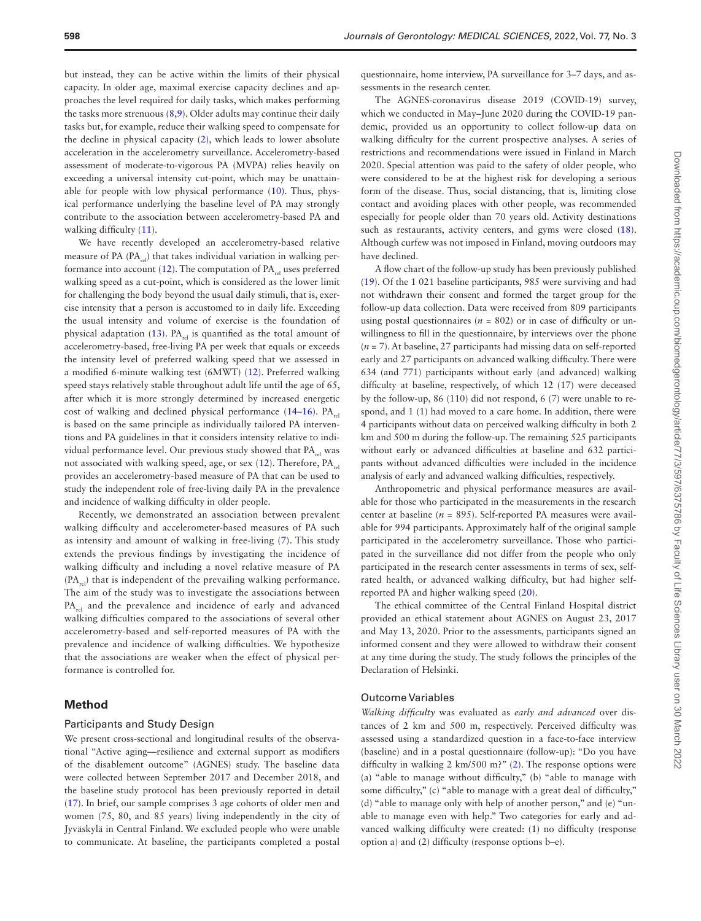but instead, they can be active within the limits of their physical capacity. In older age, maximal exercise capacity declines and approaches the level required for daily tasks, which makes performing the tasks more strenuous ([8](#page-8-5)[,9\)](#page-8-6). Older adults may continue their daily tasks but, for example, reduce their walking speed to compensate for the decline in physical capacity [\(2\)](#page-7-1), which leads to lower absolute acceleration in the accelerometry surveillance. Accelerometry-based assessment of moderate-to-vigorous PA (MVPA) relies heavily on exceeding a universal intensity cut-point, which may be unattainable for people with low physical performance  $(10)$  $(10)$ . Thus, physical performance underlying the baseline level of PA may strongly contribute to the association between accelerometry-based PA and walking difficulty  $(11)$  $(11)$ .

We have recently developed an accelerometry-based relative measure of PA  $(PA_{rel})$  that takes individual variation in walking per-formance into account [\(12](#page-8-9)). The computation of  $PA_{rel}$  uses preferred walking speed as a cut-point, which is considered as the lower limit for challenging the body beyond the usual daily stimuli, that is, exercise intensity that a person is accustomed to in daily life. Exceeding the usual intensity and volume of exercise is the foundation of physical adaptation  $(13)$  $(13)$ . PA<sub>rel</sub> is quantified as the total amount of accelerometry-based, free-living PA per week that equals or exceeds the intensity level of preferred walking speed that we assessed in a modified 6-minute walking test (6MWT) [\(12](#page-8-9)). Preferred walking speed stays relatively stable throughout adult life until the age of 65, after which it is more strongly determined by increased energetic cost of walking and declined physical performance  $(14–16)$  $(14–16)$  $(14–16)$ . PA<sub>rel</sub> is based on the same principle as individually tailored PA interventions and PA guidelines in that it considers intensity relative to individual performance level. Our previous study showed that  $PA_{rel}$  was not associated with walking speed, age, or sex  $(12)$  $(12)$ . Therefore, PA provides an accelerometry-based measure of PA that can be used to study the independent role of free-living daily PA in the prevalence and incidence of walking difficulty in older people.

Recently, we demonstrated an association between prevalent walking difficulty and accelerometer-based measures of PA such as intensity and amount of walking in free-living ([7](#page-8-4)). This study extends the previous findings by investigating the incidence of walking difficulty and including a novel relative measure of PA  $(PA_{n})$  that is independent of the prevailing walking performance. The aim of the study was to investigate the associations between PA<sub>rel</sub> and the prevalence and incidence of early and advanced walking difficulties compared to the associations of several other accelerometry-based and self-reported measures of PA with the prevalence and incidence of walking difficulties. We hypothesize that the associations are weaker when the effect of physical performance is controlled for.

## **Method**

#### Participants and Study Design

We present cross-sectional and longitudinal results of the observational "Active aging—resilience and external support as modifiers of the disablement outcome" (AGNES) study. The baseline data were collected between September 2017 and December 2018, and the baseline study protocol has been previously reported in detail [\(17](#page-8-13)). In brief, our sample comprises 3 age cohorts of older men and women (75, 80, and 85 years) living independently in the city of Jyväskylä in Central Finland. We excluded people who were unable to communicate. At baseline, the participants completed a postal

questionnaire, home interview, PA surveillance for 3–7 days, and assessments in the research center.

The AGNES-coronavirus disease 2019 (COVID-19) survey, which we conducted in May–June 2020 during the COVID-19 pandemic, provided us an opportunity to collect follow-up data on walking difficulty for the current prospective analyses. A series of restrictions and recommendations were issued in Finland in March 2020. Special attention was paid to the safety of older people, who were considered to be at the highest risk for developing a serious form of the disease. Thus, social distancing, that is, limiting close contact and avoiding places with other people, was recommended especially for people older than 70 years old. Activity destinations such as restaurants, activity centers, and gyms were closed [\(18](#page-8-14)). Although curfew was not imposed in Finland, moving outdoors may have declined.

A flow chart of the follow-up study has been previously published [\(19](#page-8-15)). Of the 1 021 baseline participants, 985 were surviving and had not withdrawn their consent and formed the target group for the follow-up data collection. Data were received from 809 participants using postal questionnaires ( $n = 802$ ) or in case of difficulty or unwillingness to fill in the questionnaire, by interviews over the phone (*n* = 7). At baseline, 27 participants had missing data on self-reported early and 27 participants on advanced walking difficulty. There were 634 (and 771) participants without early (and advanced) walking difficulty at baseline, respectively, of which 12 (17) were deceased by the follow-up, 86 (110) did not respond, 6 (7) were unable to respond, and 1 (1) had moved to a care home. In addition, there were 4 participants without data on perceived walking difficulty in both 2 km and 500 m during the follow-up. The remaining 525 participants without early or advanced difficulties at baseline and 632 participants without advanced difficulties were included in the incidence analysis of early and advanced walking difficulties, respectively.

Anthropometric and physical performance measures are available for those who participated in the measurements in the research center at baseline (*n* = 895). Self-reported PA measures were available for 994 participants. Approximately half of the original sample participated in the accelerometry surveillance. Those who participated in the surveillance did not differ from the people who only participated in the research center assessments in terms of sex, selfrated health, or advanced walking difficulty, but had higher selfreported PA and higher walking speed [\(20](#page-8-16)).

The ethical committee of the Central Finland Hospital district provided an ethical statement about AGNES on August 23, 2017 and May 13, 2020. Prior to the assessments, participants signed an informed consent and they were allowed to withdraw their consent at any time during the study. The study follows the principles of the Declaration of Helsinki.

# Outcome Variables

*Walking difficulty* was evaluated as *early and advanced* over distances of 2 km and 500 m, respectively. Perceived difficulty was assessed using a standardized question in a face-to-face interview (baseline) and in a postal questionnaire (follow-up): "Do you have difficulty in walking [2](#page-7-1) km/500 m?" (2). The response options were (a) "able to manage without difficulty," (b) "able to manage with some difficulty," (c) "able to manage with a great deal of difficulty," (d) "able to manage only with help of another person," and (e) "unable to manage even with help." Two categories for early and advanced walking difficulty were created: (1) no difficulty (response option a) and (2) difficulty (response options b–e).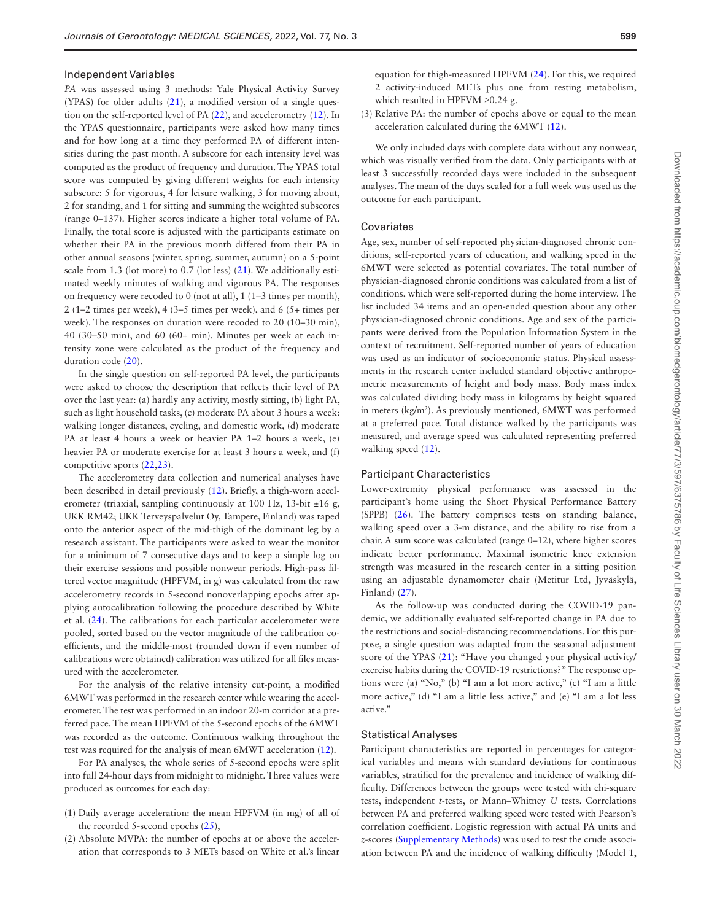#### Independent Variables

*PA* was assessed using 3 methods: Yale Physical Activity Survey (YPAS) for older adults [\(21](#page-8-17)), a modified version of a single question on the self-reported level of PA [\(22](#page-8-18)), and accelerometry ([12\)](#page-8-9). In the YPAS questionnaire, participants were asked how many times and for how long at a time they performed PA of different intensities during the past month. A subscore for each intensity level was computed as the product of frequency and duration. The YPAS total score was computed by giving different weights for each intensity subscore: 5 for vigorous, 4 for leisure walking, 3 for moving about, 2 for standing, and 1 for sitting and summing the weighted subscores (range 0–137). Higher scores indicate a higher total volume of PA. Finally, the total score is adjusted with the participants estimate on whether their PA in the previous month differed from their PA in other annual seasons (winter, spring, summer, autumn) on a 5-point scale from 1.3 (lot more) to 0.7 (lot less) [\(21](#page-8-17)). We additionally estimated weekly minutes of walking and vigorous PA. The responses on frequency were recoded to 0 (not at all), 1 (1–3 times per month), 2 (1–2 times per week), 4 (3–5 times per week), and 6 (5+ times per week). The responses on duration were recoded to 20 (10–30 min), 40 (30–50 min), and 60 (60+ min). Minutes per week at each intensity zone were calculated as the product of the frequency and duration code ([20](#page-8-16)).

In the single question on self-reported PA level, the participants were asked to choose the description that reflects their level of PA over the last year: (a) hardly any activity, mostly sitting, (b) light PA, such as light household tasks, (c) moderate PA about 3 hours a week: walking longer distances, cycling, and domestic work, (d) moderate PA at least 4 hours a week or heavier PA 1–2 hours a week, (e) heavier PA or moderate exercise for at least 3 hours a week, and (f) competitive sports ([22,](#page-8-18)[23\)](#page-8-19).

The accelerometry data collection and numerical analyses have been described in detail previously ([12](#page-8-9)). Briefly, a thigh-worn accelerometer (triaxial, sampling continuously at 100 Hz, 13-bit  $\pm 16$  g, UKK RM42; UKK Terveyspalvelut Oy, Tampere, Finland) was taped onto the anterior aspect of the mid-thigh of the dominant leg by a research assistant. The participants were asked to wear the monitor for a minimum of 7 consecutive days and to keep a simple log on their exercise sessions and possible nonwear periods. High-pass filtered vector magnitude (HPFVM, in g) was calculated from the raw accelerometry records in 5-second nonoverlapping epochs after applying autocalibration following the procedure described by White et al. ([24](#page-8-20)). The calibrations for each particular accelerometer were pooled, sorted based on the vector magnitude of the calibration coefficients, and the middle-most (rounded down if even number of calibrations were obtained) calibration was utilized for all files measured with the accelerometer.

For the analysis of the relative intensity cut-point, a modified 6MWT was performed in the research center while wearing the accelerometer. The test was performed in an indoor 20-m corridor at a preferred pace. The mean HPFVM of the 5-second epochs of the 6MWT was recorded as the outcome. Continuous walking throughout the test was required for the analysis of mean 6MWT acceleration [\(12\)](#page-8-9).

For PA analyses, the whole series of 5-second epochs were split into full 24-hour days from midnight to midnight. Three values were produced as outcomes for each day:

- (1) Daily average acceleration: the mean HPFVM (in mg) of all of the recorded 5-second epochs [\(25](#page-8-21)),
- (2) Absolute MVPA: the number of epochs at or above the acceleration that corresponds to 3 METs based on White et al.'s linear

equation for thigh-measured HPFVM [\(24](#page-8-20)). For this, we required 2 activity-induced METs plus one from resting metabolism, which resulted in HPFVM ≥0.24 g.

(3) Relative PA: the number of epochs above or equal to the mean acceleration calculated during the 6MWT ([12](#page-8-9)).

We only included days with complete data without any nonwear, which was visually verified from the data. Only participants with at least 3 successfully recorded days were included in the subsequent analyses. The mean of the days scaled for a full week was used as the outcome for each participant.

#### Covariates

Age, sex, number of self-reported physician-diagnosed chronic conditions, self-reported years of education, and walking speed in the 6MWT were selected as potential covariates. The total number of physician-diagnosed chronic conditions was calculated from a list of conditions, which were self-reported during the home interview. The list included 34 items and an open-ended question about any other physician-diagnosed chronic conditions. Age and sex of the participants were derived from the Population Information System in the context of recruitment. Self-reported number of years of education was used as an indicator of socioeconomic status. Physical assessments in the research center included standard objective anthropometric measurements of height and body mass. Body mass index was calculated dividing body mass in kilograms by height squared in meters (kg/m2 ). As previously mentioned, 6MWT was performed at a preferred pace. Total distance walked by the participants was measured, and average speed was calculated representing preferred walking speed [\(12](#page-8-9)).

#### Participant Characteristics

Lower-extremity physical performance was assessed in the participant's home using the Short Physical Performance Battery (SPPB) ([26\)](#page-8-22). The battery comprises tests on standing balance, walking speed over a 3-m distance, and the ability to rise from a chair. A sum score was calculated (range 0–12), where higher scores indicate better performance. Maximal isometric knee extension strength was measured in the research center in a sitting position using an adjustable dynamometer chair (Metitur Ltd, Jyväskylä, Finland) [\(27](#page-8-23)).

As the follow-up was conducted during the COVID-19 pandemic, we additionally evaluated self-reported change in PA due to the restrictions and social-distancing recommendations. For this purpose, a single question was adapted from the seasonal adjustment score of the YPAS [\(21](#page-8-17)): "Have you changed your physical activity/ exercise habits during the COVID-19 restrictions?" The response options were (a) "No," (b) "I am a lot more active," (c) "I am a little more active," (d) "I am a little less active," and (e) "I am a lot less active."

#### Statistical Analyses

Participant characteristics are reported in percentages for categorical variables and means with standard deviations for continuous variables, stratified for the prevalence and incidence of walking difficulty. Differences between the groups were tested with chi-square tests, independent *t*-tests, or Mann–Whitney *U* tests. Correlations between PA and preferred walking speed were tested with Pearson's correlation coefficient. Logistic regression with actual PA units and *z*-scores [\(Supplementary Methods\)](http://academic.oup.com/biomedgerontology/article-lookup/doi/10.1093/gerona/glab277#supplementary-data) was used to test the crude association between PA and the incidence of walking difficulty (Model 1,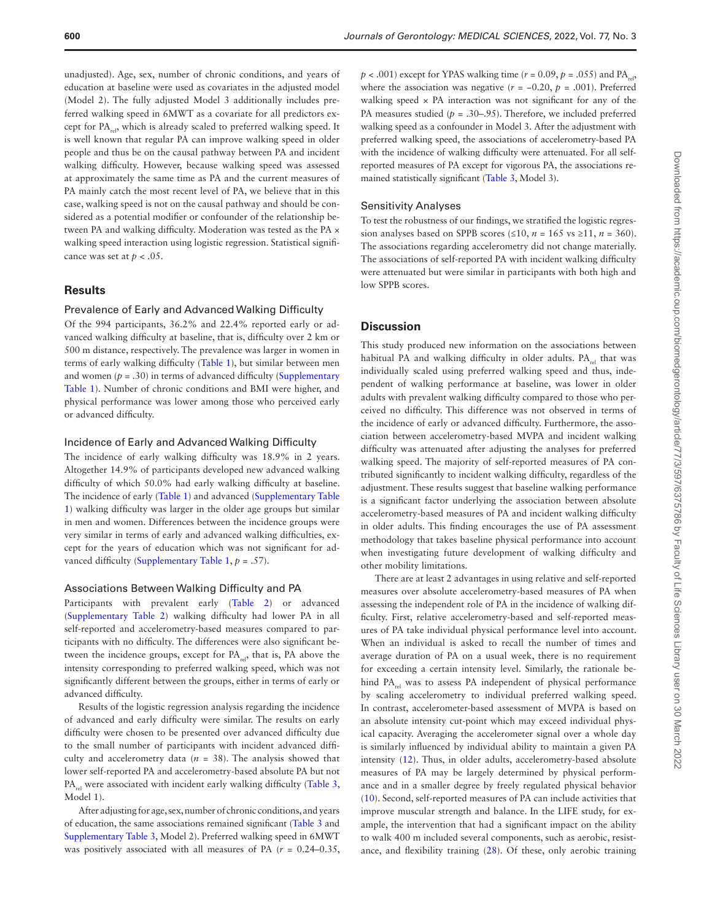unadjusted). Age, sex, number of chronic conditions, and years of education at baseline were used as covariates in the adjusted model (Model 2). The fully adjusted Model 3 additionally includes preferred walking speed in 6MWT as a covariate for all predictors except for PA, which is already scaled to preferred walking speed. It is well known that regular PA can improve walking speed in older people and thus be on the causal pathway between PA and incident walking difficulty. However, because walking speed was assessed at approximately the same time as PA and the current measures of PA mainly catch the most recent level of PA, we believe that in this case, walking speed is not on the causal pathway and should be considered as a potential modifier or confounder of the relationship between PA and walking difficulty. Moderation was tested as the PA × walking speed interaction using logistic regression. Statistical significance was set at  $p < .05$ .

## **Results**

## Prevalence of Early and Advanced Walking Difficulty

Of the 994 participants, 36.2% and 22.4% reported early or advanced walking difficulty at baseline, that is, difficulty over 2 km or 500 m distance, respectively. The prevalence was larger in women in terms of early walking difficulty ([Table 1](#page-5-0)), but similar between men and women  $(p = .30)$  in terms of advanced difficulty (Supplementary [Table 1\)](http://academic.oup.com/biomedgerontology/article-lookup/doi/10.1093/gerona/glab277#supplementary-data). Number of chronic conditions and BMI were higher, and physical performance was lower among those who perceived early or advanced difficulty.

#### Incidence of Early and Advanced Walking Difficulty

The incidence of early walking difficulty was 18.9% in 2 years. Altogether 14.9% of participants developed new advanced walking difficulty of which 50.0% had early walking difficulty at baseline. The incidence of early ([Table 1\)](#page-5-0) and advanced ([Supplementary Table](http://academic.oup.com/biomedgerontology/article-lookup/doi/10.1093/gerona/glab277#supplementary-data)  [1](http://academic.oup.com/biomedgerontology/article-lookup/doi/10.1093/gerona/glab277#supplementary-data)) walking difficulty was larger in the older age groups but similar in men and women. Differences between the incidence groups were very similar in terms of early and advanced walking difficulties, except for the years of education which was not significant for advanced difficulty [\(Supplementary Table 1](http://academic.oup.com/biomedgerontology/article-lookup/doi/10.1093/gerona/glab277#supplementary-data), *p* = .57).

#### Associations Between Walking Difficulty and PA

Participants with prevalent early ([Table 2\)](#page-6-0) or advanced [\(Supplementary Table 2](http://academic.oup.com/biomedgerontology/article-lookup/doi/10.1093/gerona/glab277#supplementary-data)) walking difficulty had lower PA in all self-reported and accelerometry-based measures compared to participants with no difficulty. The differences were also significant between the incidence groups, except for  $PA_{ref}$ , that is, PA above the intensity corresponding to preferred walking speed, which was not significantly different between the groups, either in terms of early or advanced difficulty.

Results of the logistic regression analysis regarding the incidence of advanced and early difficulty were similar. The results on early difficulty were chosen to be presented over advanced difficulty due to the small number of participants with incident advanced difficulty and accelerometry data  $(n = 38)$ . The analysis showed that lower self-reported PA and accelerometry-based absolute PA but not  $PA_{rel}$  were associated with incident early walking difficulty [\(Table 3,](#page-6-1) Model 1).

After adjusting for age, sex, number of chronic conditions, and years of education, the same associations remained significant ([Table 3](#page-6-1) and [Supplementary Table 3](http://academic.oup.com/biomedgerontology/article-lookup/doi/10.1093/gerona/glab277#supplementary-data), Model 2). Preferred walking speed in 6MWT was positively associated with all measures of PA  $(r = 0.24 - 0.35,$ 

 $p < .001$ ) except for YPAS walking time ( $r = 0.09$ ,  $p = .055$ ) and PA<sub>rel</sub> where the association was negative ( $r = -0.20$ ,  $p = .001$ ). Preferred walking speed  $\times$  PA interaction was not significant for any of the PA measures studied ( $p = .30-0.95$ ). Therefore, we included preferred walking speed as a confounder in Model 3. After the adjustment with preferred walking speed, the associations of accelerometry-based PA with the incidence of walking difficulty were attenuated. For all selfreported measures of PA except for vigorous PA, the associations remained statistically significant [\(Table 3](#page-6-1), Model 3).

## Sensitivity Analyses

To test the robustness of our findings, we stratified the logistic regression analyses based on SPPB scores (≤10,  $n = 165$  vs ≥11,  $n = 360$ ). The associations regarding accelerometry did not change materially. The associations of self-reported PA with incident walking difficulty were attenuated but were similar in participants with both high and low SPPB scores.

#### **Discussion**

This study produced new information on the associations between habitual PA and walking difficulty in older adults. PA<sub>rel</sub> that was individually scaled using preferred walking speed and thus, independent of walking performance at baseline, was lower in older adults with prevalent walking difficulty compared to those who perceived no difficulty. This difference was not observed in terms of the incidence of early or advanced difficulty. Furthermore, the association between accelerometry-based MVPA and incident walking difficulty was attenuated after adjusting the analyses for preferred walking speed. The majority of self-reported measures of PA contributed significantly to incident walking difficulty, regardless of the adjustment. These results suggest that baseline walking performance is a significant factor underlying the association between absolute accelerometry-based measures of PA and incident walking difficulty in older adults. This finding encourages the use of PA assessment methodology that takes baseline physical performance into account when investigating future development of walking difficulty and other mobility limitations.

There are at least 2 advantages in using relative and self-reported measures over absolute accelerometry-based measures of PA when assessing the independent role of PA in the incidence of walking difficulty. First, relative accelerometry-based and self-reported measures of PA take individual physical performance level into account. When an individual is asked to recall the number of times and average duration of PA on a usual week, there is no requirement for exceeding a certain intensity level. Similarly, the rationale behind PA<sub>rel</sub> was to assess PA independent of physical performance by scaling accelerometry to individual preferred walking speed. In contrast, accelerometer-based assessment of MVPA is based on an absolute intensity cut-point which may exceed individual physical capacity. Averaging the accelerometer signal over a whole day is similarly influenced by individual ability to maintain a given PA intensity ([12\)](#page-8-9). Thus, in older adults, accelerometry-based absolute measures of PA may be largely determined by physical performance and in a smaller degree by freely regulated physical behavior [\(10](#page-8-7)). Second, self-reported measures of PA can include activities that improve muscular strength and balance. In the LIFE study, for example, the intervention that had a significant impact on the ability to walk 400 m included several components, such as aerobic, resistance, and flexibility training [\(28](#page-8-24)). Of these, only aerobic training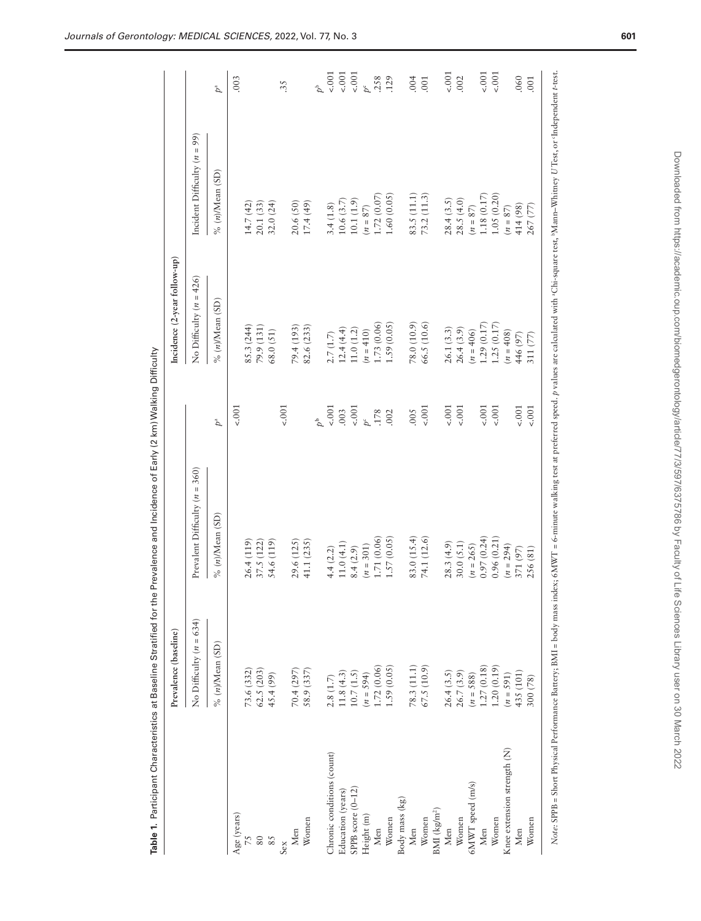|                                 | Prevalence (baseline)                                         |                                    |             | Incidence (2-year follow-up) |                                |                 |
|---------------------------------|---------------------------------------------------------------|------------------------------------|-------------|------------------------------|--------------------------------|-----------------|
|                                 | No Difficulty $(n = 634)$                                     | Prevalent Difficulty ( $n = 360$ ) |             | No Difficulty $(n = 426)$    | Incident Difficulty $(n = 99)$ |                 |
|                                 | $%$ (n)/Mean (SD)                                             | $%$ (n)/Mean (SD)                  | $p^a$       | $%$ (n)/Mean (SD)            | $\%$ (n)/Mean (SD)             | $\mathcal{P}^a$ |
| Age (years)                     |                                                               |                                    | $-.001$     |                              |                                | .003            |
| $5\angle$                       | 73.6 (332)                                                    | 26.4 (119)                         |             | 85.3 (244)                   | 14.7(42)                       |                 |
| 80                              | 62.5 (203)                                                    | 37.5 (122)                         |             | 79.9 (131)                   | 20.1 (33)                      |                 |
| 85                              | 45.4 (99)                                                     | 54.6 (119)                         |             | 68.0(51)                     | 32.0(24)                       |                 |
| Sex                             |                                                               |                                    | $-.001$     |                              |                                | 35              |
| Men                             | 70.4 (297                                                     | 29.6 (125)                         |             | 79.4 (193)                   | 20.6(50)                       |                 |
| Women                           | 58.9 (337                                                     | 41.1 (235)                         |             | 82.6 (233)                   | 17.4(49)                       |                 |
|                                 |                                                               |                                    | $b^{\rm b}$ |                              |                                | $\phi^b$        |
| Chronic conditions (count)      | 2.8(1.7)                                                      | 4.4(2.2)                           | 5001        | 2.7(1.7)                     | 3.4(1.8)                       | 5001            |
| Education (years)               | 11.8(4.3)                                                     | 11.0(4.1)                          | .003        | 12.4(4.4)                    | 10.6(3.7)                      | 5001            |
| SPPB score (0-12)               | $10.7\left(1.5\right)$                                        | 8.4(2.9)                           | 5001        | 11.0(1.2)                    | 10.1(1.9)                      | 5001            |
| Height (m)                      | $(n = 594)$                                                   | $(n = 301)$                        | $p^c$       | $(n = 410)$                  | $(n = 87)$                     | $p^c$           |
| Men                             | 1.72(0.06)                                                    | 1.71 (0.06)                        | .178        | .73(0.06)                    | 1.72(0.07)                     | .258            |
| Women                           | 1.59(0.05)                                                    | 1.57(0.05)                         | .002        | 1.59(0.05)                   | 1.60 (0.05)                    | .129            |
| Body mass (kg)                  |                                                               |                                    |             |                              |                                |                 |
| Men                             |                                                               | 83.0 (15.4)                        | 0005        | 78.0 (10.9)                  | 83.5 (11.1)                    | .004            |
| Women                           | $\begin{array}{c} 78.3 \ (11.1) \\ 67.5 \ (10.9) \end{array}$ | 74.1 (12.6)                        | 5001        | 66.5 (10.6)                  | 73.2 (11.3)                    | .001            |
| $\rm{BMI}$ (kg/m <sup>2</sup> ) |                                                               |                                    |             |                              |                                |                 |
| Men                             | 26.4(3.5)                                                     | 28.3(4.9)                          | 4.001       | 26.1(3.3)                    | 28.4(3.5)                      | 5001            |
| Women                           | 26.7 (3.9)                                                    | 30.0(5.1)                          | 5001        | 26.4(3.9)                    | 28.5(4.0)                      | .002            |
| 6MWT speed (m/s)                | $(n = 588)$                                                   | $(n = 265)$                        |             | $(n = 406)$                  | $(n = 87)$                     |                 |
| Men                             | 1.27(0.18)                                                    | 0.97(0.24)                         | 4.001       | 1.29(0.17)                   | 1.18(0.17)                     | $-.001$         |
| Women                           | 1.20(0.19)                                                    | 0.96(0.21)                         | 5001        | 1.25(0.17)                   | 1.05(0.20)                     | 5001            |
| Knee extension strength (N)     | $(n = 591)$                                                   | $(n = 294)$                        |             | $(n = 408)$                  | $(n=87)$                       |                 |
| Men                             | 435 (101)                                                     | 371 (97)                           | $-.001$     | 446 (97)                     | 414 (98)                       | .060            |
| Women                           | 300 (78)                                                      | 256 (81)                           | 5001        | 311 (77)                     | 267 (77)                       | 001             |

<span id="page-5-0"></span>Table 1. Participant Characteristics at Baseline Stratified for the Prevalence and Incidence of Early (2 km) Walking Difficulty **Table 1.** Participant Characteristics at Baseline Stratified for the Prevalence and Incidence of Early (2 km) Walking Difficulty

Note: SPPB = Short Physical Performance Battery; BMI = body mass index; 6MWT = 6-minute walking test at preferred speed. p values are calculated with "Chi-square test, "Mann–Whitney U Test, or 'Independent t-test 5, r, l. ļ L Ļ ī,  $\frac{1}{2}$ Ļ  $\ddot{\ddot{\varepsilon}}$ ŝ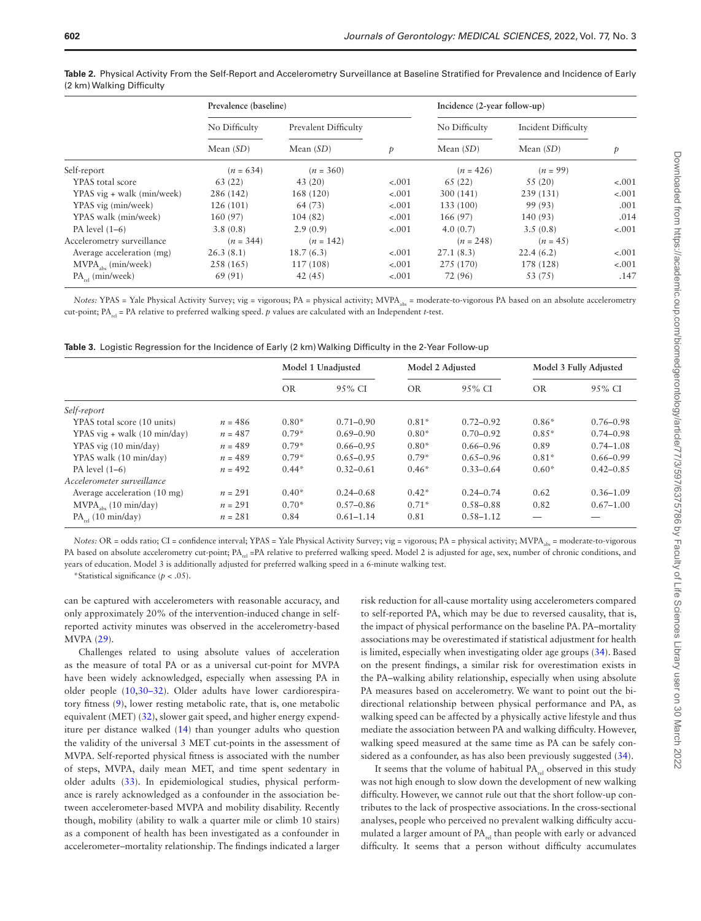| ×<br>I<br>$\sim$ | ٦<br>$\sim$ | ۹ |
|------------------|-------------|---|
|                  |             |   |

|                            | Prevalence (baseline) |                      |         | Incidence (2-year follow-up) |                     |         |  |
|----------------------------|-----------------------|----------------------|---------|------------------------------|---------------------|---------|--|
|                            | No Difficulty         | Prevalent Difficulty |         | No Difficulty                | Incident Difficulty |         |  |
|                            | Mean $(SD)$           | Mean $(SD)$          | p       | Mean $(SD)$                  | Mean $(SD)$         | p       |  |
| Self-report                | $(n = 634)$           | $(n = 360)$          |         | $(n = 426)$                  | $(n = 99)$          |         |  |
| YPAS total score           | 63 (22)               | 43(20)               | $-.001$ | 65(22)                       | 55(20)              | $-.001$ |  |
| YPAS vig + walk (min/week) | 286 (142)             | 168 (120)            | $-.001$ | 300 (141)                    | 239 (131)           | $-.001$ |  |
| YPAS vig (min/week)        | 126(101)              | 64 (73)              | $-.001$ | 133 (100)                    | 99 (93)             | .001    |  |
| YPAS walk (min/week)       | 160(97)               | 104(82)              | $-.001$ | 166(97)                      | 140 (93)            | .014    |  |
| PA level $(1-6)$           | 3.8(0.8)              | 2.9(0.9)             | $-.001$ | 4.0(0.7)                     | 3.5(0.8)            | $-.001$ |  |
| Accelerometry surveillance | $(n = 344)$           | $(n = 142)$          |         | $(n = 248)$                  | $(n = 45)$          |         |  |
| Average acceleration (mg)  | 26.3(8.1)             | 18.7(6.3)            | $-.001$ | 27.1(8.3)                    | 22.4(6.2)           | $-.001$ |  |
| $MVPA_{obs}$ (min/week)    | 258 (165)             | 117 (108)            | $-.001$ | 275 (170)                    | 178 (128)           | $-.001$ |  |
| $PA_{rel}$ (min/week)      | 69 (91)               | 42(45)               | $-.001$ | 72 (96)                      | 53 (75)             | .147    |  |

<span id="page-6-0"></span>**Table 2.** Physical Activity From the Self-Report and Accelerometry Surveillance at Baseline Stratified for Prevalence and Incidence of Early (2 km) Walking Difficulty

*Notes:* YPAS = Yale Physical Activity Survey; vig = vigorous; PA = physical activity; MVPA<sub>abs</sub> = moderate-to-vigorous PA based on an absolute accelerometry cut-point; PA<sub>rel</sub> = PA relative to preferred walking speed. *p* values are calculated with an Independent *t*-test.

<span id="page-6-1"></span>

| Table 3. Logistic Regression for the Incidence of Early (2 km) Walking Difficulty in the 2-Year Follow-up |  |
|-----------------------------------------------------------------------------------------------------------|--|
|-----------------------------------------------------------------------------------------------------------|--|

|                                |           | Model 1 Unadjusted |               | Model 2 Adjusted |               | Model 3 Fully Adjusted |               |
|--------------------------------|-----------|--------------------|---------------|------------------|---------------|------------------------|---------------|
|                                |           | OR.                | 9.5% CI       | <b>OR</b>        | $9.5\%$ CI    | <b>OR</b>              | 95% CI        |
| Self-report                    |           |                    |               |                  |               |                        |               |
| YPAS total score (10 units)    | $n = 486$ | $0.80*$            | $0.71 - 0.90$ | $0.81*$          | $0.72 - 0.92$ | $0.86*$                | $0.76 - 0.98$ |
| YPAS $vig + walk$ (10 min/day) | $n = 487$ | $0.79*$            | $0.69 - 0.90$ | $0.80*$          | $0.70 - 0.92$ | $0.85*$                | $0.74 - 0.98$ |
| YPAS vig (10 min/day)          | $n = 489$ | $0.79*$            | $0.66 - 0.95$ | $0.80*$          | $0.66 - 0.96$ | 0.89                   | $0.74 - 1.08$ |
| YPAS walk (10 min/day)         | $n = 489$ | $0.79*$            | $0.65 - 0.95$ | $0.79*$          | $0.65 - 0.96$ | $0.81*$                | $0.66 - 0.99$ |
| PA level $(1-6)$               | $n = 492$ | $0.44*$            | $0.32 - 0.61$ | $0.46*$          | $0.33 - 0.64$ | $0.60*$                | $0.42 - 0.85$ |
| Accelerometer surveillance     |           |                    |               |                  |               |                        |               |
| Average acceleration (10 mg)   | $n = 291$ | $0.40*$            | $0.24 - 0.68$ | $0.42*$          | $0.24 - 0.74$ | 0.62                   | $0.36 - 1.09$ |
| $MVPAabs$ (10 min/day)         | $n = 291$ | $0.70*$            | $0.57 - 0.86$ | $0.71*$          | $0.58 - 0.88$ | 0.82                   | $0.67 - 1.00$ |
| $PA_{rel}$ (10 min/day)        | $n = 281$ | 0.84               | $0.61 - 1.14$ | 0.81             | $0.58 - 1.12$ |                        |               |

*Notes:* OR = odds ratio; CI = confidence interval; YPAS = Yale Physical Activity Survey; vig = vigorous; PA = physical activity; MVPA<sub>ab</sub> = moderate-to-vigorous PA based on absolute accelerometry cut-point; PA<sub>rel</sub> =PA relative to preferred walking speed. Model 2 is adjusted for age, sex, number of chronic conditions, and years of education. Model 3 is additionally adjusted for preferred walking speed in a 6-minute walking test.

\*Statistical significance (*p* < .05).

can be captured with accelerometers with reasonable accuracy, and only approximately 20% of the intervention-induced change in selfreported activity minutes was observed in the accelerometry-based MVPA [\(29\)](#page-8-25).

Challenges related to using absolute values of acceleration as the measure of total PA or as a universal cut-point for MVPA have been widely acknowledged, especially when assessing PA in older people [\(10](#page-8-7)[,30](#page-8-26)[–32\)](#page-8-27). Older adults have lower cardiorespiratory fitness [\(9\)](#page-8-6), lower resting metabolic rate, that is, one metabolic equivalent (MET) [\(32](#page-8-27)), slower gait speed, and higher energy expenditure per distance walked [\(14\)](#page-8-11) than younger adults who question the validity of the universal 3 MET cut-points in the assessment of MVPA. Self-reported physical fitness is associated with the number of steps, MVPA, daily mean MET, and time spent sedentary in older adults ([33\)](#page-8-28). In epidemiological studies, physical performance is rarely acknowledged as a confounder in the association between accelerometer-based MVPA and mobility disability. Recently though, mobility (ability to walk a quarter mile or climb 10 stairs) as a component of health has been investigated as a confounder in accelerometer–mortality relationship. The findings indicated a larger

risk reduction for all-cause mortality using accelerometers compared to self-reported PA, which may be due to reversed causality, that is, the impact of physical performance on the baseline PA. PA–mortality associations may be overestimated if statistical adjustment for health is limited, especially when investigating older age groups [\(34\)](#page-8-29). Based on the present findings, a similar risk for overestimation exists in the PA–walking ability relationship, especially when using absolute PA measures based on accelerometry. We want to point out the bidirectional relationship between physical performance and PA, as walking speed can be affected by a physically active lifestyle and thus mediate the association between PA and walking difficulty. However, walking speed measured at the same time as PA can be safely considered as a confounder, as has also been previously suggested ([34\)](#page-8-29).

It seems that the volume of habitual  $PA_{rel}$  observed in this study was not high enough to slow down the development of new walking difficulty. However, we cannot rule out that the short follow-up contributes to the lack of prospective associations. In the cross-sectional analyses, people who perceived no prevalent walking difficulty accumulated a larger amount of PA<sub>rel</sub> than people with early or advanced difficulty. It seems that a person without difficulty accumulates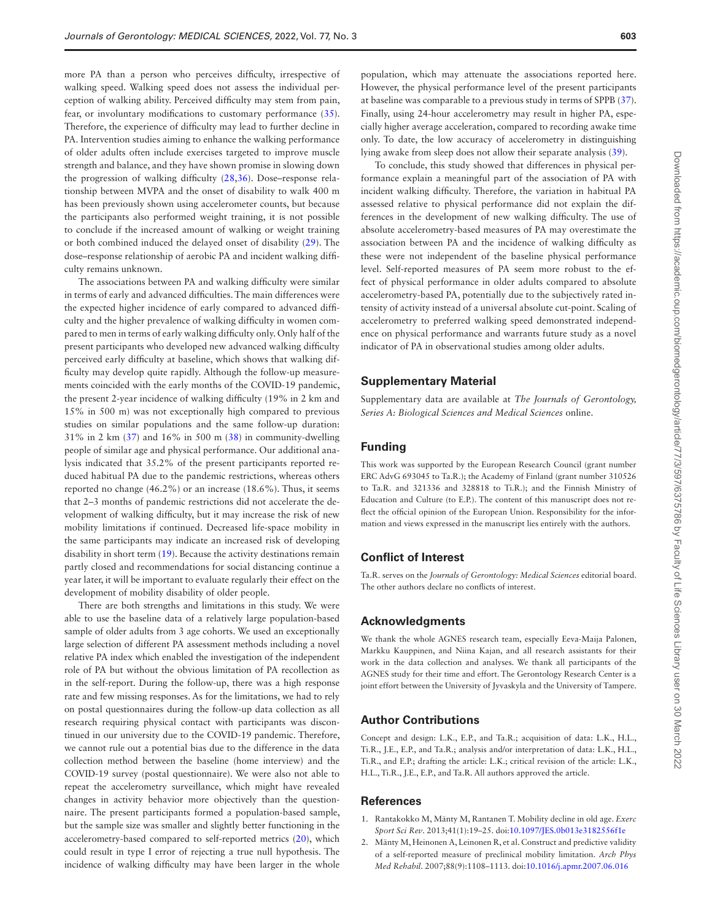more PA than a person who perceives difficulty, irrespective of walking speed. Walking speed does not assess the individual perception of walking ability. Perceived difficulty may stem from pain, fear, or involuntary modifications to customary performance [\(35](#page-8-30)). Therefore, the experience of difficulty may lead to further decline in PA. Intervention studies aiming to enhance the walking performance of older adults often include exercises targeted to improve muscle strength and balance, and they have shown promise in slowing down the progression of walking difficulty [\(28](#page-8-24),[36\)](#page-8-31). Dose–response relationship between MVPA and the onset of disability to walk 400 m has been previously shown using accelerometer counts, but because the participants also performed weight training, it is not possible to conclude if the increased amount of walking or weight training or both combined induced the delayed onset of disability [\(29](#page-8-25)). The dose–response relationship of aerobic PA and incident walking difficulty remains unknown.

The associations between PA and walking difficulty were similar in terms of early and advanced difficulties. The main differences were the expected higher incidence of early compared to advanced difficulty and the higher prevalence of walking difficulty in women compared to men in terms of early walking difficulty only. Only half of the present participants who developed new advanced walking difficulty perceived early difficulty at baseline, which shows that walking difficulty may develop quite rapidly. Although the follow-up measurements coincided with the early months of the COVID-19 pandemic, the present 2-year incidence of walking difficulty (19% in 2 km and 15% in 500 m) was not exceptionally high compared to previous studies on similar populations and the same follow-up duration: 31% in 2 km [\(37](#page-8-32)) and 16% in 500 m ([38\)](#page-8-33) in community-dwelling people of similar age and physical performance. Our additional analysis indicated that 35.2% of the present participants reported reduced habitual PA due to the pandemic restrictions, whereas others reported no change (46.2%) or an increase (18.6%). Thus, it seems that 2–3 months of pandemic restrictions did not accelerate the development of walking difficulty, but it may increase the risk of new mobility limitations if continued. Decreased life-space mobility in the same participants may indicate an increased risk of developing disability in short term [\(19\)](#page-8-15). Because the activity destinations remain partly closed and recommendations for social distancing continue a year later, it will be important to evaluate regularly their effect on the development of mobility disability of older people.

There are both strengths and limitations in this study. We were able to use the baseline data of a relatively large population-based sample of older adults from 3 age cohorts. We used an exceptionally large selection of different PA assessment methods including a novel relative PA index which enabled the investigation of the independent role of PA but without the obvious limitation of PA recollection as in the self-report. During the follow-up, there was a high response rate and few missing responses. As for the limitations, we had to rely on postal questionnaires during the follow-up data collection as all research requiring physical contact with participants was discontinued in our university due to the COVID-19 pandemic. Therefore, we cannot rule out a potential bias due to the difference in the data collection method between the baseline (home interview) and the COVID-19 survey (postal questionnaire). We were also not able to repeat the accelerometry surveillance, which might have revealed changes in activity behavior more objectively than the questionnaire. The present participants formed a population-based sample, but the sample size was smaller and slightly better functioning in the accelerometry-based compared to self-reported metrics [\(20](#page-8-16)), which could result in type I error of rejecting a true null hypothesis. The incidence of walking difficulty may have been larger in the whole

Downloaded from https://academic.oup.com/biomedgerontology/article/77/3/597/6375786 by Faculty of Life Sciences Library user on 30 March 2022 Downloaded from https://academic.oup.com/biomedgerontology/article/77/3/597/6375786 by Faculty of Life Sciences Library user on 30 March 2022

population, which may attenuate the associations reported here. However, the physical performance level of the present participants at baseline was comparable to a previous study in terms of SPPB [\(37](#page-8-32)). Finally, using 24-hour accelerometry may result in higher PA, especially higher average acceleration, compared to recording awake time only. To date, the low accuracy of accelerometry in distinguishing lying awake from sleep does not allow their separate analysis ([39\)](#page-8-34).

To conclude, this study showed that differences in physical performance explain a meaningful part of the association of PA with incident walking difficulty. Therefore, the variation in habitual PA assessed relative to physical performance did not explain the differences in the development of new walking difficulty. The use of absolute accelerometry-based measures of PA may overestimate the association between PA and the incidence of walking difficulty as these were not independent of the baseline physical performance level. Self-reported measures of PA seem more robust to the effect of physical performance in older adults compared to absolute accelerometry-based PA, potentially due to the subjectively rated intensity of activity instead of a universal absolute cut-point. Scaling of accelerometry to preferred walking speed demonstrated independence on physical performance and warrants future study as a novel indicator of PA in observational studies among older adults.

# **Supplementary Material**

Supplementary data are available at *The Journals of Gerontology, Series A: Biological Sciences and Medical Sciences* online.

# **Funding**

This work was supported by the European Research Council (grant number ERC AdvG 693045 to Ta.R.); the Academy of Finland (grant number 310526 to Ta.R. and 321336 and 328818 to Ti.R.); and the Finnish Ministry of Education and Culture (to E.P.). The content of this manuscript does not reflect the official opinion of the European Union. Responsibility for the information and views expressed in the manuscript lies entirely with the authors.

#### **Conflict of Interest**

Ta.R. serves on the *Journals of Gerontology: Medical Sciences* editorial board. The other authors declare no conflicts of interest.

## **Acknowledgments**

We thank the whole AGNES research team, especially Eeva-Maija Palonen, Markku Kauppinen, and Niina Kajan, and all research assistants for their work in the data collection and analyses. We thank all participants of the AGNES study for their time and effort. The Gerontology Research Center is a joint effort between the University of Jyvaskyla and the University of Tampere.

# **Author Contributions**

Concept and design: L.K., E.P., and Ta.R.; acquisition of data: L.K., H.L., Ti.R., J.E., E.P., and Ta.R.; analysis and/or interpretation of data: L.K., H.L., Ti.R., and E.P.; drafting the article: L.K.; critical revision of the article: L.K., H.L., Ti.R., J.E., E.P., and Ta.R. All authors approved the article.

#### **References**

- <span id="page-7-0"></span>1. Rantakokko M, Mänty M, Rantanen T. Mobility decline in old age. *Exerc Sport Sci Rev*. 2013;41(1):19–25. doi:[10.1097/JES.0b013e3182556f1e](https://doi.org/10.1097/JES.0b013e3182556f1e)
- <span id="page-7-1"></span>2. Mänty M, Heinonen A, Leinonen R, et al. Construct and predictive validity of a self-reported measure of preclinical mobility limitation. *Arch Phys Med Rehabil*. 2007;88(9):1108–1113. doi:[10.1016/j.apmr.2007.06.016](https://doi.org/10.1016/j.apmr.2007.06.016)